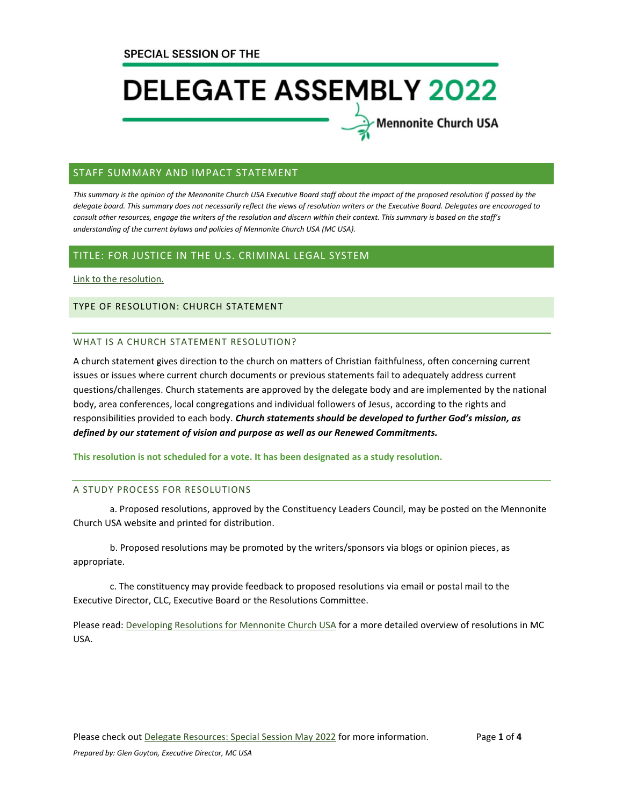# **DELEGATE ASSEMBLY 2022**

Mennonite Church USA

#### STAFF SUMMARY AND IMPACT STATEMENT

*This summary is the opinion of the Mennonite Church USA Executive Board staff about the impact of the proposed resolution if passed by the delegate board. This summary does not necessarily reflect the views of resolution writers or the Executive Board. Delegates are encouraged to consult other resources, engage the writers of the resolution and discern within their context. This summary is based on the staff's understanding of the current bylaws and policies of Mennonite Church USA (MC USA).*

#### TITLE: FOR JUSTICE IN THE U.S. CRIMINAL LEGAL SYSTEM

[Link to the resolution.](https://www.mennoniteusa.org/wp-content/uploads/2021/07/MC-USA-For-Justice-Resolution-FINAL.pdf)

#### TYPE OF RESOLUTION: CHURCH STATEMENT

#### WHAT IS A CHURCH STATEMENT RESOLUTION?

A church statement gives direction to the church on matters of Christian faithfulness, often concerning current issues or issues where current church documents or previous statements fail to adequately address current questions/challenges. Church statements are approved by the delegate body and are implemented by the national body, area conferences, local congregations and individual followers of Jesus, according to the rights and responsibilities provided to each body. *Church statements should be developed to further God's mission, as defined by our statement of vision and purpose as well as our Renewed Commitments.*

**This resolution is not scheduled for a vote. It has been designated as a study resolution.**

#### A STUDY PROCESS FOR RESOLUTIONS

a. Proposed resolutions, approved by the Constituency Leaders Council, may be posted on the Mennonite Church USA website and printed for distribution.

b. Proposed resolutions may be promoted by the writers/sponsors via blogs or opinion pieces, as appropriate.

c. The constituency may provide feedback to proposed resolutions via email or postal mail to the Executive Director, CLC, Executive Board or the Resolutions Committee.

Please read: [Developing Resolutions for Mennonite Church USA](https://www.mennoniteusa.org/wp-content/uploads/2020/06/Developing-Resolutions-for-MC-USA-Approved-January-2020.pdf) for a more detailed overview of resolutions in MC USA.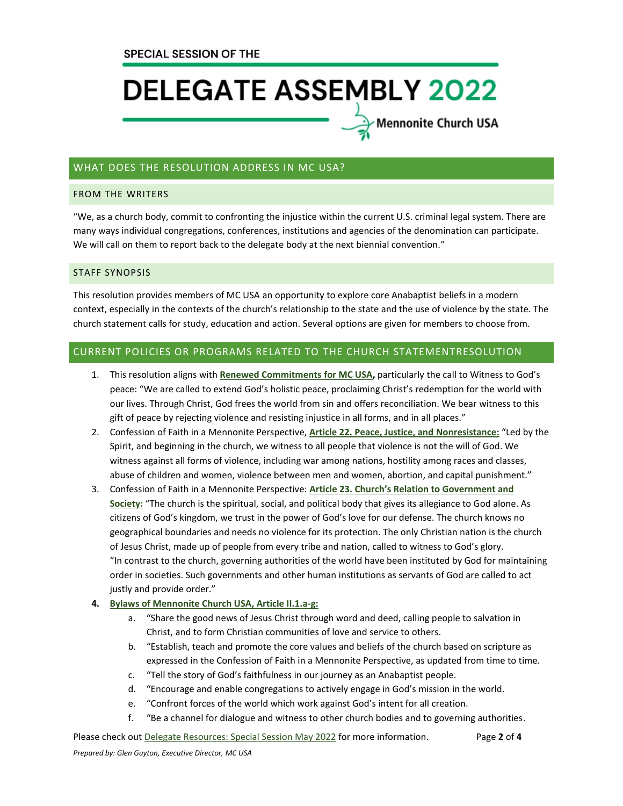## **DELEGATE ASSEMBLY 2022**

### ∕Mennonite Church USA

#### WHAT DOES THE RESOLUTION ADDRESS IN MC USA?

#### FROM THE WRITERS

"We, as a church body, commit to confronting the injustice within the current U.S. criminal legal system. There are many ways individual congregations, conferences, institutions and agencies of the denomination can participate. We will call on them to report back to the delegate body at the next biennial convention."

#### STAFF SYNOPSIS

This resolution provides members of MC USA an opportunity to explore core Anabaptist beliefs in a modern context, especially in the contexts of the church's relationship to the state and the use of violence by the state. The church statement calls for study, education and action. Several options are given for members to choose from.

#### CURRENT POLICIES OR PROGRAMS RELATED TO THE CHURCH STATEMENTRESOLUTION

- 1. This resolution aligns with **[Renewed Commitments](https://www.mennoniteusa.org/resource-portal/resource/renewed-commitments-for-mc-usa/) for MC USA,** particularly the call to Witness to God's peace: "We are called to extend God's holistic peace, proclaiming Christ's redemption for the world with our lives. Through Christ, God frees the world from sin and offers reconciliation. We bear witness to this gift of peace by rejecting violence and resisting injustice in all forms, and in all places."
- 2. Confession of Faith in a Mennonite Perspective, **[Article 22. Peace, Justice, and Nonresistance:](https://www.mennoniteusa.org/who-are-mennonites/what-we-believe/confession-of-faith/peace-justice-and-nonresistance/)** "Led by the Spirit, and beginning in the church, we witness to all people that violence is not the will of God. We witness against all forms of violence, including war among nations, hostility among races and classes, abuse of children and women, violence between men and women, abortion, and capital punishment."
- 3. Confession of Faith in a Mennonite Perspective: **[Article 23. Church's Relation to Government and](https://www.mennoniteusa.org/who-are-mennonites/what-we-believe/confession-of-faith/churchs-relation-to-government-and-society/)  [Society:](https://www.mennoniteusa.org/who-are-mennonites/what-we-believe/confession-of-faith/churchs-relation-to-government-and-society/)** "The church is the spiritual, social, and political body that gives its allegiance to God alone. As citizens of God's kingdom, we trust in the power of God's love for our defense. The church knows no geographical boundaries and needs no violence for its protection. The only Christian nation is the church of Jesus Christ, made up of people from every tribe and nation, called to witness to God's glory. "In contrast to the church, governing authorities of the world have been instituted by God for maintaining order in societies. Such governments and other human institutions as servants of God are called to act justly and provide order."
- **4. [Bylaws of Mennonite Church USA, Article II.1.a-g:](https://www.mennoniteusa.org/wp-content/uploads/2020/08/Bylaws-Approved-2021-Delegate-Assembly-July-10.pdf)**
	- a. "Share the good news of Jesus Christ through word and deed, calling people to salvation in Christ, and to form Christian communities of love and service to others.
	- b. "Establish, teach and promote the core values and beliefs of the church based on scripture as expressed in the Confession of Faith in a Mennonite Perspective, as updated from time to time.
	- c. "Tell the story of God's faithfulness in our journey as an Anabaptist people.
	- d. "Encourage and enable congregations to actively engage in God's mission in the world.
	- e. "Confront forces of the world which work against God's intent for all creation.
	- f. "Be a channel for dialogue and witness to other church bodies and to governing authorities.

Please check out **Delegate Resources: Special Session May 2022** for more information. Page 2 of 4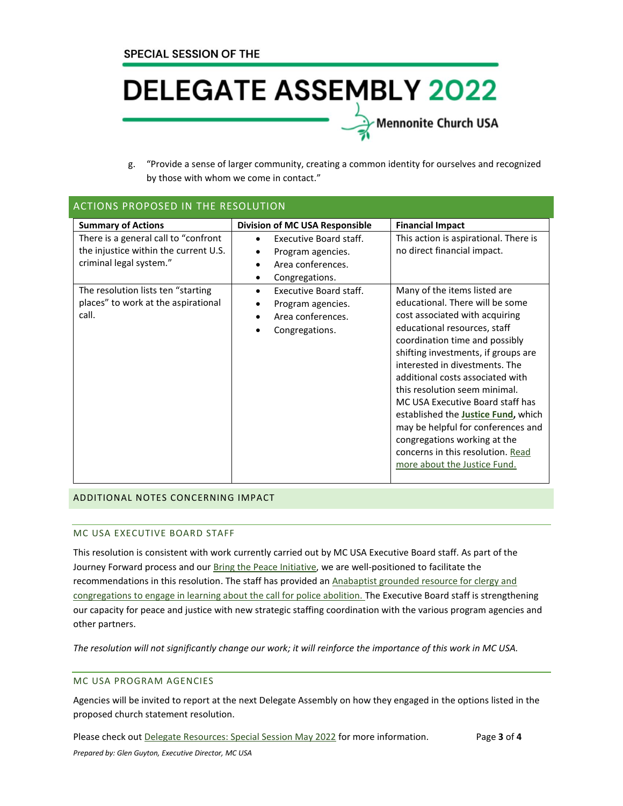### **DELEGATE ASSEMBLY 2022** Mennonite Church USA

g. "Provide a sense of larger community, creating a common identity for ourselves and recognized by those with whom we come in contact."

| <b>ACTIONS PROPOSED IN THE RESOLUTION</b>                                                                                                                                                                                   |                                                                                                                                                                                                                                           |                                                                                                                                                                                                                                                                                                                                                                                                                                                                                                                                                                                                                                                    |
|-----------------------------------------------------------------------------------------------------------------------------------------------------------------------------------------------------------------------------|-------------------------------------------------------------------------------------------------------------------------------------------------------------------------------------------------------------------------------------------|----------------------------------------------------------------------------------------------------------------------------------------------------------------------------------------------------------------------------------------------------------------------------------------------------------------------------------------------------------------------------------------------------------------------------------------------------------------------------------------------------------------------------------------------------------------------------------------------------------------------------------------------------|
| <b>Summary of Actions</b><br>There is a general call to "confront<br>the injustice within the current U.S.<br>criminal legal system."<br>The resolution lists ten "starting<br>places" to work at the aspirational<br>call. | Division of MC USA Responsible<br>Executive Board staff.<br>Program agencies.<br>Area conferences.<br>Congregations.<br>٠<br>Executive Board staff.<br>$\bullet$<br>Program agencies.<br>Area conferences.<br>$\bullet$<br>Congregations. | <b>Financial Impact</b><br>This action is aspirational. There is<br>no direct financial impact.<br>Many of the items listed are<br>educational. There will be some<br>cost associated with acquiring<br>educational resources, staff<br>coordination time and possibly<br>shifting investments, if groups are<br>interested in divestments. The<br>additional costs associated with<br>this resolution seem minimal.<br>MC USA Executive Board staff has<br>established the <b>Justice Fund</b> , which<br>may be helpful for conferences and<br>congregations working at the<br>concerns in this resolution. Read<br>more about the Justice Fund. |
|                                                                                                                                                                                                                             |                                                                                                                                                                                                                                           |                                                                                                                                                                                                                                                                                                                                                                                                                                                                                                                                                                                                                                                    |

#### ADDITIONAL NOTES CONCERNING IMPACT

#### MC USA EXECUTIVE BOARD STAFF

This resolution is consistent with work currently carried out by MC USA Executive Board staff. As part of the Journey Forward process and ou[r Bring the Peace Initiative,](https://www.mennoniteusa.org/bring-the-peace/) we are well-positioned to facilitate the recommendations in this resolution. The staff has provided an Anabaptist grounded resource for clergy and [congregations to engage in learning about the call for police abolition. T](https://www.mennoniteusa.org/abolition-curriculum-intro/)he Executive Board staff is strengthening our capacity for peace and justice with new strategic staffing coordination with the various program agencies and other partners.

*The resolution will not significantly change our work; it will reinforce the importance of this work in MC USA.*

#### MC USA PROGRAM AGENCIES

Agencies will be invited to report at the next Delegate Assembly on how they engaged in the options listed in the proposed church statement resolution.

Please check out [Delegate Resources: Special Session May 2022](https://www.mennoniteusa.org/resource-portal/resource/delegate-resources-special-session-may-2022/) for more information. Page **3** of **4** *Prepared by: Glen Guyton, Executive Director, MC USA*